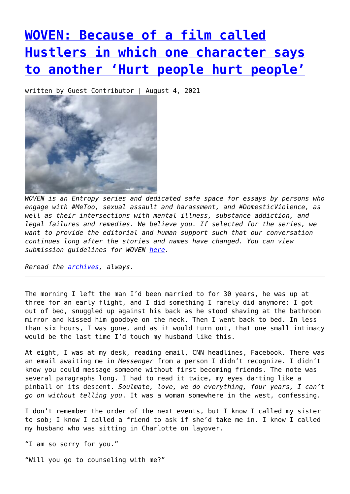## **[WOVEN: Because of a film called](https://entropymag.org/woven-because-of-a-film-called-hustlers-in-which-one-character-says-to-another-hurt-people-hurt-people/) [Hustlers in which one character says](https://entropymag.org/woven-because-of-a-film-called-hustlers-in-which-one-character-says-to-another-hurt-people-hurt-people/) [to another 'Hurt people hurt people'](https://entropymag.org/woven-because-of-a-film-called-hustlers-in-which-one-character-says-to-another-hurt-people-hurt-people/)**

written by Guest Contributor | August 4, 2021



*WOVEN is an Entropy series and dedicated safe space for essays by persons who engage with #MeToo, sexual assault and harassment, and #DomesticViolence, as well as their intersections with mental illness, substance addiction, and legal failures and remedies. We believe you. If selected for the series, we want to provide the editorial and human support such that our conversation continues long after the stories and names have changed. You can view submission guidelines for WOVEN [here.](https://entropymag.org/woven-call-for-submissions/)*

*Reread the [archives](https://entropymag.org/tag/woven/), always.* 

The morning I left the man I'd been married to for 30 years, he was up at three for an early flight, and I did something I rarely did anymore: I got out of bed, snuggled up against his back as he stood shaving at the bathroom mirror and kissed him goodbye on the neck. Then I went back to bed. In less than six hours, I was gone, and as it would turn out, that one small intimacy would be the last time I'd touch my husband like this.

At eight, I was at my desk, reading email, CNN headlines, Facebook. There was an email awaiting me in *Messenger* from a person I didn't recognize. I didn't know you could message someone without first becoming friends. The note was several paragraphs long. I had to read it twice, my eyes darting like a pinball on its descent. *Soulmate, love, we do everything, four years, I can't go on without telling you*. It was a woman somewhere in the west, confessing.

I don't remember the order of the next events, but I know I called my sister to sob; I know I called a friend to ask if she'd take me in. I know I called my husband who was sitting in Charlotte on layover.

"I am so sorry for you."

"Will you go to counseling with me?"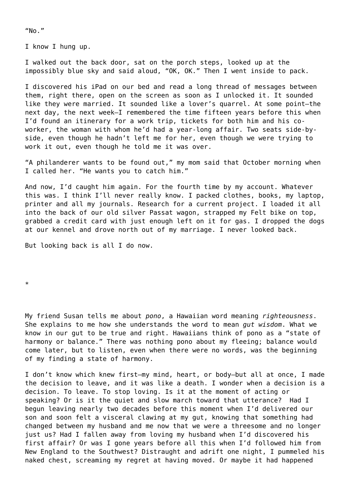$''$ No."

I know I hung up.

I walked out the back door, sat on the porch steps, looked up at the impossibly blue sky and said aloud, "OK, OK." Then I went inside to pack.

I discovered his iPad on our bed and read a long thread of messages between them, right there, open on the screen as soon as I unlocked it. It sounded like they were married. It sounded like a lover's quarrel. At some point—the next day, the next week—I remembered the time fifteen years before this when I'd found an itinerary for a work trip, tickets for both him and his coworker, the woman with whom he'd had a year-long affair. Two seats side-byside, even though he hadn't left me for her, even though we were trying to work it out, even though he told me it was over.

"A philanderer wants to be found out," my mom said that October morning when I called her. "He wants you to catch him."

And now, I'd caught him again. For the fourth time by my account. Whatever this was. I think I'll never really know. I packed clothes, books, my laptop, printer and all my journals. Research for a current project. I loaded it all into the back of our old silver Passat wagon, strapped my Felt bike on top, grabbed a credit card with just enough left on it for gas. I dropped the dogs at our kennel and drove north out of my marriage. I never looked back.

But looking back is all I do now.

\*

My friend Susan tells me about *pono*, a Hawaiian word meaning *righteousness*. She explains to me how she understands the word to mean *gut wisdom*. What we know in our gut to be true and right. Hawaiians think of pono as a "state of harmony or balance." There was nothing pono about my fleeing; balance would come later, but to listen, even when there were no words, was the beginning of my finding a state of harmony.

I don't know which knew first—my mind, heart, or body—but all at once, I made the decision to leave, and it was like a death. I wonder when a decision is a decision. To leave. To stop loving. Is it at the moment of acting or speaking? Or is it the quiet and slow march toward that utterance? Had I begun leaving nearly two decades before this moment when I'd delivered our son and soon felt a visceral clawing at my gut, knowing that something had changed between my husband and me now that we were a threesome and no longer just us? Had I fallen away from loving my husband when I'd discovered his first affair? Or was I gone years before all this when I'd followed him from New England to the Southwest? Distraught and adrift one night, I pummeled his naked chest, screaming my regret at having moved. Or maybe it had happened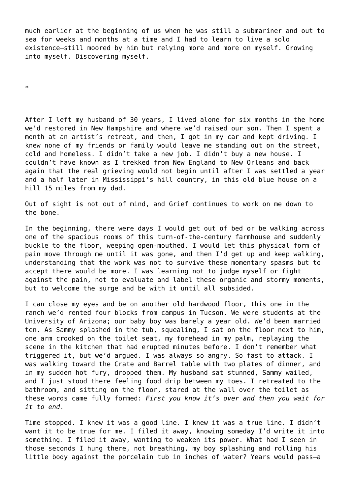much earlier at the beginning of us when he was still a submariner and out to sea for weeks and months at a time and I had to learn to live a solo existence—still moored by him but relying more and more on myself. Growing into myself. Discovering myself.

\*

After I left my husband of 30 years, I lived alone for six months in the home we'd restored in New Hampshire and where we'd raised our son. Then I spent a month at an artist's retreat, and then, I got in my car and kept driving. I knew none of my friends or family would leave me standing out on the street, cold and homeless. I didn't take a new job. I didn't buy a new house. I couldn't have known as I trekked from New England to New Orleans and back again that the real grieving would not begin until after I was settled a year and a half later in Mississippi's hill country, in this old blue house on a hill 15 miles from my dad.

Out of sight is not out of mind, and Grief continues to work on me down to the bone.

In the beginning, there were days I would get out of bed or be walking across one of the spacious rooms of this turn-of-the-century farmhouse and suddenly buckle to the floor, weeping open-mouthed. I would let this physical form of pain move through me until it was gone, and then I'd get up and keep walking, understanding that the work was not to survive these momentary spasms but to accept there would be more. I was learning not to judge myself or fight against the pain, not to evaluate and label these organic and stormy moments, but to welcome the surge and be with it until all subsided.

I can close my eyes and be on another old hardwood floor, this one in the ranch we'd rented four blocks from campus in Tucson. We were students at the University of Arizona; our baby boy was barely a year old. We'd been married ten. As Sammy splashed in the tub, squealing, I sat on the floor next to him, one arm crooked on the toilet seat, my forehead in my palm, replaying the scene in the kitchen that had erupted minutes before. I don't remember what triggered it, but we'd argued. I was always so angry. So fast to attack. I was walking toward the Crate and Barrel table with two plates of dinner, and in my sudden hot fury, dropped them. My husband sat stunned, Sammy wailed, and I just stood there feeling food drip between my toes. I retreated to the bathroom, and sitting on the floor, stared at the wall over the toilet as these words came fully formed: *First you know it's over and then you wait for it to end*.

Time stopped. I knew it was a good line. I knew it was a true line. I didn't want it to be true for me. I filed it away, knowing someday I'd write it into something. I filed it away, wanting to weaken its power. What had I seen in those seconds I hung there, not breathing, my boy splashing and rolling his little body against the porcelain tub in inches of water? Years would pass—a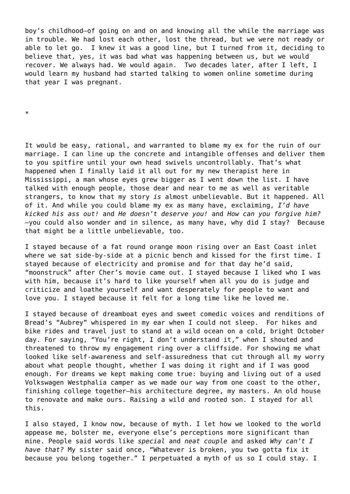boy's childhood—of going on and on and knowing all the while the marriage was in trouble. We had lost each other, lost the thread, but we were not ready or able to let go. I knew it was a good line, but I turned from it, deciding to believe that, yes, it was bad what was happening between us, but we would recover. We always had. We would again. Two decades later, after I left, I would learn my husband had started talking to women online sometime during that year I was pregnant.

\*

It would be easy, rational, and warranted to blame my ex for the ruin of our marriage. I can line up the concrete and intangible offenses and deliver them to you spitfire until your own head swivels uncontrollably. That's what happened when I finally laid it all out for my new therapist here in Mississippi, a man whose eyes grew bigger as I went down the list. I have talked with enough people, those dear and near to me as well as veritable strangers, to know that my story *is* almost unbelievable. But it happened. All of it. And while you could blame my ex as many have, exclaiming, *I'd have kicked his ass out!* and *He doesn't deserve you!* and *How can you forgive him? —*you could also wonder and in silence, as many have, why did I stay? Because that might be a little unbelievable, too.

I stayed because of a fat round orange moon rising over an East Coast inlet where we sat side-by-side at a picnic bench and kissed for the first time. I stayed because of electricity and promise and for that day he'd said, "moonstruck" after Cher's movie came out. I stayed because I liked who I was with him, because it's hard to like yourself when all you do is judge and criticize and loathe yourself and want desperately for people to want and love you. I stayed because it felt for a long time like he loved me.

I stayed because of dreamboat eyes and sweet comedic voices and renditions of Bread's "Aubrey" whispered in my ear when I could not sleep. For hikes and bike rides and travel just to stand at a wild ocean on a cold, bright October day. For saying, "You're right, I don't understand it," when I shouted and threatened to throw my engagement ring over a cliffside. For showing me what looked like self-awareness and self-assuredness that cut through all my worry about what people thought, whether I was doing it right and if I was good enough. For dreams we kept making come true: buying and living out of a used Volkswagen Westphalia camper as we made our way from one coast to the other, finishing college together—his architecture degree, my masters. An old house to renovate and make ours. Raising a wild and rooted son. I stayed for all this.

I also stayed, I know now, because of myth. I let how we looked to the world appease me, bolster me, everyone else's perceptions more significant than mine. People said words like *special* and *neat couple* and asked *Why can't I have that?* My sister said once, "Whatever is broken, you two gotta fix it because you belong together." I perpetuated a myth of us so I could stay. I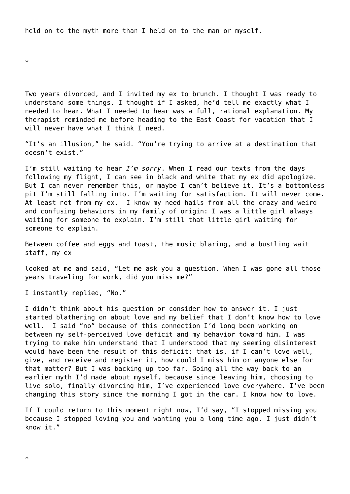held on to the myth more than I held on to the man or myself.

\*

Two years divorced, and I invited my ex to brunch. I thought I was ready to understand some things. I thought if I asked, he'd tell me exactly what I needed to hear. What I needed to hear was a full, rational explanation. My therapist reminded me before heading to the East Coast for vacation that I will never have what I think I need.

"It's an illusion," he said. "You're trying to arrive at a destination that doesn't exist."

I'm still waiting to hear *I'm sorry*. When I read our texts from the days following my flight, I can see in black and white that my ex did apologize. But I can never remember this, or maybe I can't believe it. It's a bottomless pit I'm still falling into. I'm waiting for satisfaction. It will never come. At least not from my ex. I know my need hails from all the crazy and weird and confusing behaviors in my family of origin: I was a little girl always waiting for someone to explain. I'm still that little girl waiting for someone to explain.

Between coffee and eggs and toast, the music blaring, and a bustling wait staff, my ex

looked at me and said, "Let me ask you a question. When I was gone all those years traveling for work, did you miss me?"

I instantly replied, "No."

I didn't think about his question or consider how to answer it. I just started blathering on about love and my belief that I don't know how to love well. I said "no" because of this connection I'd long been working on between my self-perceived love deficit and my behavior toward him. I was trying to make him understand that I understood that my seeming disinterest would have been the result of this deficit; that is, if I can't love well, give, and receive and register it, how could I miss him or anyone else for that matter? But I was backing up too far. Going all the way back to an earlier myth I'd made about myself, because since leaving him, choosing to live solo, finally divorcing him, I've experienced love everywhere. I've been changing this story since the morning I got in the car. I know how to love.

If I could return to this moment right now, I'd say, "I stopped missing you because I stopped loving you and wanting you a long time ago. I just didn't know it."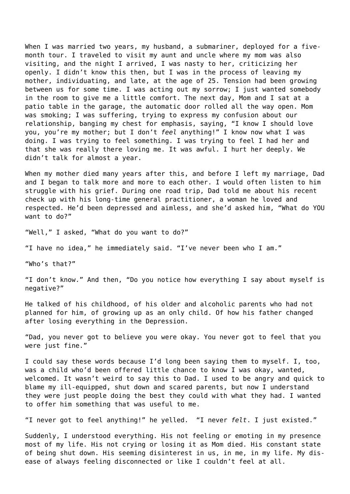When I was married two years, my husband, a submariner, deployed for a fivemonth tour. I traveled to visit my aunt and uncle where my mom was also visiting, and the night I arrived, I was nasty to her, criticizing her openly. I didn't know this then, but I was in the process of leaving my mother, individuating, and late, at the age of 25. Tension had been growing between us for some time. I was acting out my sorrow; I just wanted somebody in the room to give me a little comfort. The next day, Mom and I sat at a patio table in the garage, the automatic door rolled all the way open. Mom was smoking; I was suffering, trying to express my confusion about our relationship, banging my chest for emphasis, saying, "I know I should love you, you're my mother; but I don't *feel* anything!" I know now what I was doing. I was trying to feel something. I was trying to feel I had her and that she was really there loving me. It was awful. I hurt her deeply. We didn't talk for almost a year.

When my mother died many years after this, and before I left my marriage, Dad and I began to talk more and more to each other. I would often listen to him struggle with his grief. During one road trip, Dad told me about his recent check up with his long-time general practitioner, a woman he loved and respected. He'd been depressed and aimless, and she'd asked him, "What do YOU want to do?"

"Well," I asked, "What do you want to do?"

"I have no idea," he immediately said. "I've never been who I am."

"Who's that?"

"I don't know." And then, "Do you notice how everything I say about myself is negative?"

He talked of his childhood, of his older and alcoholic parents who had not planned for him, of growing up as an only child. Of how his father changed after losing everything in the Depression.

"Dad, you never got to believe you were okay. You never got to feel that you were just fine."

I could say these words because I'd long been saying them to myself. I, too, was a child who'd been offered little chance to know I was okay, wanted, welcomed. It wasn't weird to say this to Dad. I used to be angry and quick to blame my ill-equipped, shut down and scared parents, but now I understand they were just people doing the best they could with what they had. I wanted to offer him something that was useful to me.

"I never got to feel anything!" he yelled. "I never *felt*. I just existed."

Suddenly, I understood everything. His not feeling or emoting in my presence most of my life. His not crying or losing it as Mom died. His constant state of being shut down. His seeming disinterest in us, in me, in my life. My disease of always feeling disconnected or like I couldn't feel at all.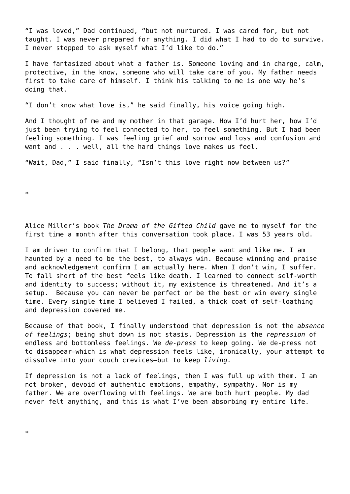"I was loved," Dad continued, "but not nurtured. I was cared for, but not taught. I was never prepared for anything. I did what I had to do to survive. I never stopped to ask myself what I'd like to do."

I have fantasized about what a father is. Someone loving and in charge, calm, protective, in the know, someone who will take care of you. My father needs first to take care of himself. I think his talking to me is one way he's doing that.

"I don't know what love is," he said finally, his voice going high.

And I thought of me and my mother in that garage. How I'd hurt her, how I'd just been trying to feel connected to her, to feel something. But I had been feeling something. I was feeling grief and sorrow and loss and confusion and want and . . . well, all the hard things love makes us feel.

"Wait, Dad," I said finally, "Isn't this love right now between us?"

\*

Alice Miller's book *The Drama of the Gifted Child* gave me to myself for the first time a month after this conversation took place. I was 53 years old.

I am driven to confirm that I belong, that people want and like me. I am haunted by a need to be the best, to always win. Because winning and praise and acknowledgement confirm I am actually here. When I don't win, I suffer. To fall short of the best feels like death. I learned to connect self-worth and identity to success; without it, my existence is threatened. And it's a setup. Because you can never be perfect or be the best or win every single time. Every single time I believed I failed, a thick coat of self-loathing and depression covered me.

Because of that book, I finally understood that depression is not the *absence of feelings*; being shut down is not stasis. Depression is the *repression* of endless and bottomless feelings. We *de-press* to keep going. We de-press not to disappear—which is what depression feels like, ironically, your attempt to dissolve into your couch crevices—but to keep *living.*

If depression is not a lack of feelings, then I was full up with them. I am not broken, devoid of authentic emotions, empathy, sympathy. Nor is my father. We are overflowing with feelings. We are both hurt people. My dad never felt anything, and this is what I've been absorbing my entire life.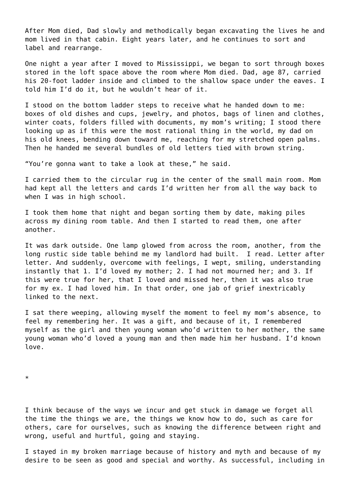After Mom died, Dad slowly and methodically began excavating the lives he and mom lived in that cabin. Eight years later, and he continues to sort and label and rearrange.

One night a year after I moved to Mississippi, we began to sort through boxes stored in the loft space above the room where Mom died. Dad, age 87, carried his 20-foot ladder inside and climbed to the shallow space under the eaves. I told him I'd do it, but he wouldn't hear of it.

I stood on the bottom ladder steps to receive what he handed down to me: boxes of old dishes and cups, jewelry, and photos, bags of linen and clothes, winter coats, folders filled with documents, my mom's writing; I stood there looking up as if this were the most rational thing in the world, my dad on his old knees, bending down toward me, reaching for my stretched open palms. Then he handed me several bundles of old letters tied with brown string.

"You're gonna want to take a look at these," he said.

I carried them to the circular rug in the center of the small main room. Mom had kept all the letters and cards I'd written her from all the way back to when I was in high school.

I took them home that night and began sorting them by date, making piles across my dining room table. And then I started to read them, one after another.

It was dark outside. One lamp glowed from across the room, another, from the long rustic side table behind me my landlord had built. I read. Letter after letter. And suddenly, overcome with feelings, I wept, smiling, understanding instantly that 1. I'd loved my mother; 2. I had not mourned her; and 3. If this were true for her, that I loved and missed her, then it was also true for my ex. I had loved him. In that order, one jab of grief inextricably linked to the next.

I sat there weeping, allowing myself the moment to feel my mom's absence, to feel my remembering her. It was a gift, and because of it, I remembered myself as the girl and then young woman who'd written to her mother, the same young woman who'd loved a young man and then made him her husband. I'd known love.

\*

I think because of the ways we incur and get stuck in damage we forget all the time the things we are, the things we know how to do, such as care for others, care for ourselves, such as knowing the difference between right and wrong, useful and hurtful, going and staying.

I stayed in my broken marriage because of history and myth and because of my desire to be seen as good and special and worthy. As successful, including in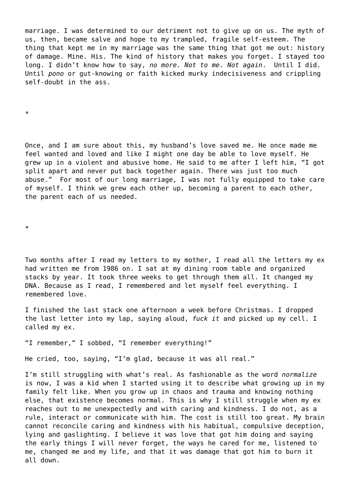marriage. I was determined to our detriment not to give up on us. The myth of us, then, became salve and hope to my trampled, fragile self-esteem. The thing that kept me in my marriage was the same thing that got me out: history of damage. Mine. His. The kind of history that makes you forget. I stayed too long. I didn't know how to say, *no more. Not to me. Not again*. Until I did. Until *pono* or gut-knowing or faith kicked murky indecisiveness and crippling self-doubt in the ass.

\*

Once, and I am sure about this, my husband's love saved me. He once made me feel wanted and loved and like I might one day be able to love myself. He grew up in a violent and abusive home. He said to me after I left him, "I got split apart and never put back together again. There was just too much abuse." For most of our long marriage, I was not fully equipped to take care of myself. I think we grew each other up, becoming a parent to each other, the parent each of us needed.

\*

Two months after I read my letters to my mother, I read all the letters my ex had written me from 1986 on. I sat at my dining room table and organized stacks by year. It took three weeks to get through them all. It changed my DNA. Because as I read, I remembered and let myself feel everything. I remembered love.

I finished the last stack one afternoon a week before Christmas. I dropped the last letter into my lap, saying aloud, *fuck it* and picked up my cell. I called my ex.

"I remember," I sobbed, "I remember everything!"

He cried, too, saying, "I'm glad, because it was all real."

I'm still struggling with what's real. As fashionable as the word *normalize* is now, I was a kid when I started using it to describe what growing up in my family felt like. When you grow up in chaos and trauma and knowing nothing else, that existence becomes normal. This is why I still struggle when my ex reaches out to me unexpectedly and with caring and kindness. I do not, as a rule, interact or communicate with him. The cost is still too great. My brain cannot reconcile caring and kindness with his habitual, compulsive deception, lying and gaslighting. I believe it was love that got him doing and saying the early things I will never forget, the ways he cared for me, listened to me, changed me and my life, and that it was damage that got him to burn it all down.